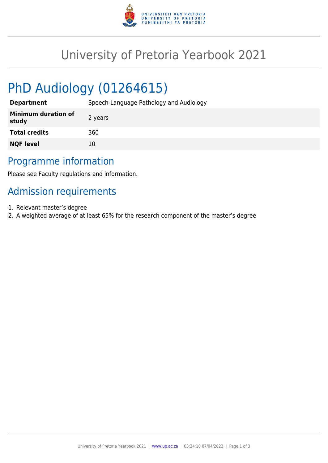

## University of Pretoria Yearbook 2021

# PhD Audiology (01264615)

| <b>Department</b>                   | Speech-Language Pathology and Audiology |
|-------------------------------------|-----------------------------------------|
| <b>Minimum duration of</b><br>study | 2 years                                 |
| <b>Total credits</b>                | 360                                     |
| <b>NQF level</b>                    | 10                                      |

### Programme information

Please see Faculty regulations and information.

## Admission requirements

- 1. Relevant master's degree
- 2. A weighted average of at least 65% for the research component of the master's degree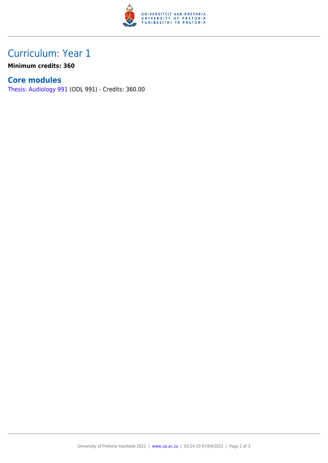

### Curriculum: Year 1

**Minimum credits: 360**

#### **Core modules**

[Thesis: Audiology 991](https://www.up.ac.za/yearbooks/2021/modules/view/ODL 991) (ODL 991) - Credits: 360.00